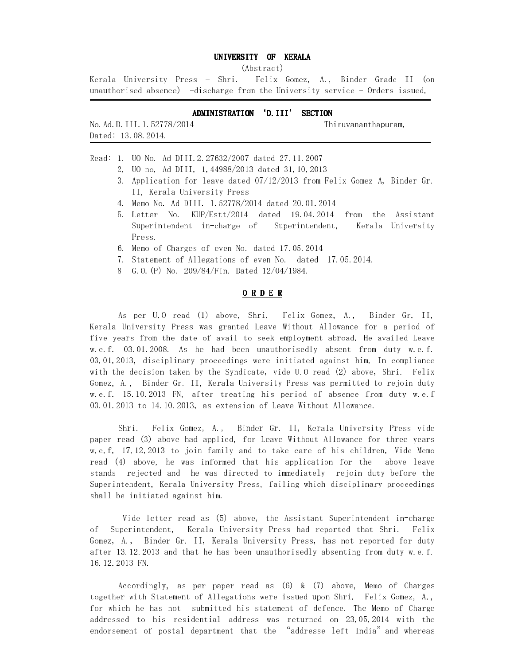### UNIVERSITY OF KERALA

(Abstract)

Kerala University Press – Shri. Felix Gomez, A., Binder Grade II (on unauthorised absence) -discharge from the University service - Orders issued.

## ADMINISTRATION 'D.III' SECTION

| No. Ad. D. 111. 1. 52778/2014 |  |  |
|-------------------------------|--|--|
| Dated: 13.08.2014.            |  |  |

-

Γ

Thiruvananthapuram,

Read: 1. UO No. Ad DIII.2.27632/2007 dated 27.11.2007

2. UO no. Ad DIII. 1.44988/2013 dated 31.10.2013

- 3. Application for leave dated 07/12/2013 from Felix Gomez A, Binder Gr. II, Kerala University Press
- 4. Memo No. Ad DIII. 1.52778/2014 dated 20.01.2014
- 5. Letter No. KUP/Estt/2014 dated 19.04.2014 from the Assistant Superintendent in-charge of Superintendent, Kerala University Press.
- 6. Memo of Charges of even No. dated 17.05.2014
- 7. Statement of Allegations of even No. dated 17.05.2014.
- 8 G.O.(P) No. 209/84/Fin. Dated 12/04/1984.

#### O R D E R

 As per U.O read (1) above, Shri. Felix Gomez, A., Binder Gr. II, Kerala University Press was granted Leave Without Allowance for a period of five years from the date of avail to seek employment abroad. He availed Leave w.e.f. 03.01.2008. As he had been unauthorisedly absent from duty w.e.f. 03.01.2013, disciplinary proceedings were initiated against him. In compliance with the decision taken by the Syndicate, vide U.O read (2) above, Shri. Felix Gomez, A., Binder Gr. II, Kerala University Press was permitted to rejoin duty w.e.f. 15.10.2013 FN, after treating his period of absence from duty w.e.f 03.01.2013 to 14.10.2013, as extension of Leave Without Allowance.

 Shri. Felix Gomez, A., Binder Gr. II, Kerala University Press vide paper read (3) above had applied, for Leave Without Allowance for three years w.e.f. 17.12.2013 to join family and to take care of his children. Vide Memo read (4) above, he was informed that his application for the above leave stands rejected and he was directed to immediately rejoin duty before the Superintendent, Kerala University Press, failing which disciplinary proceedings shall be initiated against him.

 Vide letter read as (5) above, the Assistant Superintendent in-charge of Superintendent, Kerala University Press had reported that Shri. Felix Gomez, A., Binder Gr. II, Kerala University Press, has not reported for duty after 13.12.2013 and that he has been unauthorisedly absenting from duty w.e.f. 16.12.2013 FN.

 Accordingly, as per paper read as (6) & (7) above, Memo of Charges together with Statement of Allegations were issued upon Shri. Felix Gomez, A., for which he has not submitted his statement of defence. The Memo of Charge addressed to his residential address was returned on 23.05.2014 with the endorsement of postal department that the "addresse left India"and whereas